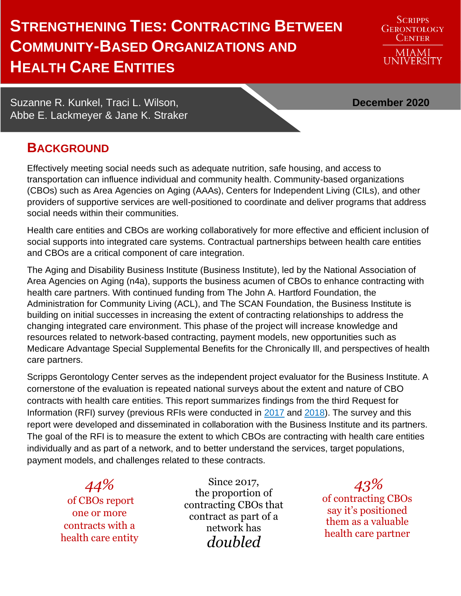# **STRENGTHENING TIES: CONTRACTING BETWEEN COMMUNITY-BASED ORGANIZATIONS AND HEALTH CARE ENTITIES**

**SCRIPPS GERONTOLOGY CENTER** MIAMI<br>UNIVERSITY

Suzanne R. Kunkel, Traci L. Wilson, **December 2020** Abbe E. Lackmeyer & Jane K. Straker

# **BACKGROUND**

Effectively meeting social needs such as adequate nutrition, safe housing, and access to transportation can influence individual and community health. Community-based organizations (CBOs) such as Area Agencies on Aging (AAAs), Centers for Independent Living (CILs), and other providers of supportive services are well-positioned to coordinate and deliver programs that address social needs within their communities.

Health care entities and CBOs are working collaboratively for more effective and efficient inclusion of social supports into integrated care systems. Contractual partnerships between health care entities and CBOs are a critical component of care integration.

The Aging and Disability Business Institute (Business Institute), led by the National Association of Area Agencies on Aging (n4a), supports the business acumen of CBOs to enhance contracting with health care partners. With continued funding from The John A. Hartford Foundation, the Administration for Community Living (ACL), and The SCAN Foundation, the Business Institute is building on initial successes in increasing the extent of contracting relationships to address the changing integrated care environment. This phase of the project will increase knowledge and resources related to network-based contracting, payment models, new opportunities such as Medicare Advantage Special Supplemental Benefits for the Chronically Ill, and perspectives of health care partners.

Scripps Gerontology Center serves as the independent project evaluator for the Business Institute. A cornerstone of the evaluation is repeated national surveys about the extent and nature of CBO contracts with health care entities. This report summarizes findings from the third Request for Information (RFI) survey (previous RFIs were conducted in [2017](https://www.miamioh.edu/cas/academics/centers/scripps/research/publications/2017/12/Community-based-organizations-and-health-care-contracting.html) and [2018\)](https://www.miamioh.edu/cas/academics/centers/scripps/research/publications/2018/11/community-based-organizations-and-health-care-contracting-building-and-strengthening-partnerships.html). The survey and this report were developed and disseminated in collaboration with the Business Institute and its partners. The goal of the RFI is to measure the extent to which CBOs are contracting with health care entities individually and as part of a network, and to better understand the services, target populations, payment models, and challenges related to these contracts.

*44%* of CBOs report one or more contracts with a health care entity

Since 2017, the proportion of contracting CBOs that contract as part of a network has *doubled*

*43%* of contracting CBOs say it's positioned them as a valuable health care partner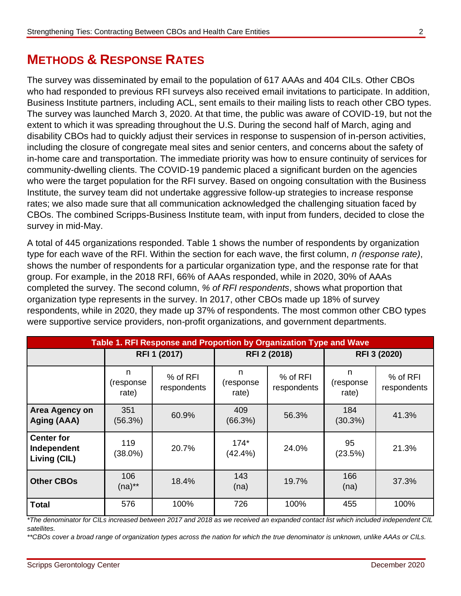# **METHODS & RESPONSE RATES**

The survey was disseminated by email to the population of 617 AAAs and 404 CILs. Other CBOs who had responded to previous RFI surveys also received email invitations to participate. In addition, Business Institute partners, including ACL, sent emails to their mailing lists to reach other CBO types. The survey was launched March 3, 2020. At that time, the public was aware of COVID-19, but not the extent to which it was spreading throughout the U.S. During the second half of March, aging and disability CBOs had to quickly adjust their services in response to suspension of in-person activities, including the closure of congregate meal sites and senior centers, and concerns about the safety of in-home care and transportation. The immediate priority was how to ensure continuity of services for community-dwelling clients. The COVID-19 pandemic placed a significant burden on the agencies who were the target population for the RFI survey. Based on ongoing consultation with the Business Institute, the survey team did not undertake aggressive follow-up strategies to increase response rates; we also made sure that all communication acknowledged the challenging situation faced by CBOs. The combined Scripps-Business Institute team, with input from funders, decided to close the survey in mid-May.

A total of 445 organizations responded. Table 1 shows the number of respondents by organization type for each wave of the RFI. Within the section for each wave, the first column, *n (response rate)*, shows the number of respondents for a particular organization type, and the response rate for that group. For example, in the 2018 RFI, 66% of AAAs responded, while in 2020, 30% of AAAs completed the survey. The second column, *% of RFI respondents*, shows what proportion that organization type represents in the survey. In 2017, other CBOs made up 18% of survey respondents, while in 2020, they made up 37% of respondents. The most common other CBO types were supportive service providers, non-profit organizations, and government departments.

| Table 1. RFI Response and Proportion by Organization Type and Wave |                          |                         |                          |                         |                          |                         |  |
|--------------------------------------------------------------------|--------------------------|-------------------------|--------------------------|-------------------------|--------------------------|-------------------------|--|
|                                                                    | RFI 1 (2017)             |                         | RFI 2 (2018)             |                         | RFI 3 (2020)             |                         |  |
|                                                                    | n.<br>(response<br>rate) | % of RFI<br>respondents | n<br>(response)<br>rate) | % of RFI<br>respondents | n<br>(response)<br>rate) | % of RFI<br>respondents |  |
| Area Agency on<br>Aging (AAA)                                      | 351<br>(56.3%)           | 60.9%                   | 409<br>(66.3%)           | 56.3%                   | 184<br>(30.3%)           | 41.3%                   |  |
| <b>Center for</b><br>Independent<br>Living (CIL)                   | 119<br>$(38.0\%)$        | 20.7%                   | $174*$<br>(42.4%)        | 24.0%                   | 95<br>(23.5%)            | 21.3%                   |  |
| <b>Other CBOs</b>                                                  | 106<br>$(na)$ **         | 18.4%                   | 143<br>(na)              | 19.7%                   | 166<br>(na)              | 37.3%                   |  |
| <b>Total</b>                                                       | 576                      | 100%                    | 726                      | 100%                    | 455                      | 100%                    |  |

*\*The denominator for CILs increased between 2017 and 2018 as we received an expanded contact list which included independent CIL satellites.* 

*\*\*CBOs cover a broad range of organization types across the nation for which the true denominator is unknown, unlike AAAs or CILs.*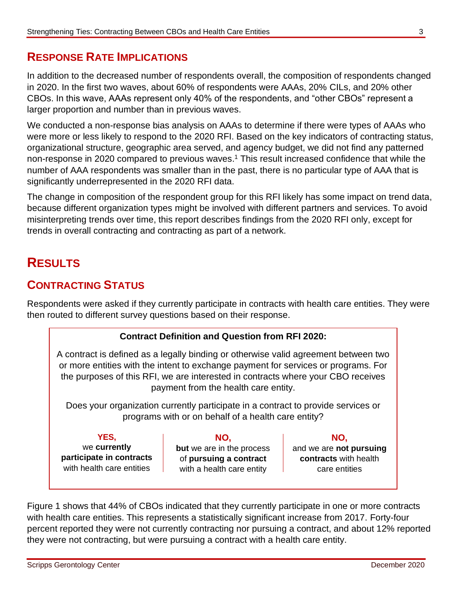# **RESPONSE RATE IMPLICATIONS**

In addition to the decreased number of respondents overall, the composition of respondents changed in 2020. In the first two waves, about 60% of respondents were AAAs, 20% CILs, and 20% other CBOs. In this wave, AAAs represent only 40% of the respondents, and "other CBOs" represent a larger proportion and number than in previous waves.

We conducted a non-response bias analysis on AAAs to determine if there were types of AAAs who were more or less likely to respond to the 2020 RFI. Based on the key indicators of contracting status, organizational structure, geographic area served, and agency budget, we did not find any patterned non-response in 2020 compared to previous waves. <sup>1</sup> This result increased confidence that while the number of AAA respondents was smaller than in the past, there is no particular type of AAA that is significantly underrepresented in the 2020 RFI data.

The change in composition of the respondent group for this RFI likely has some impact on trend data, because different organization types might be involved with different partners and services. To avoid misinterpreting trends over time, this report describes findings from the 2020 RFI only, except for trends in overall contracting and contracting as part of a network.

# **RESULTS**

# **CONTRACTING STATUS**

Respondents were asked if they currently participate in contracts with health care entities. They were then routed to different survey questions based on their response.

#### **Contract Definition and Question from RFI 2020:**

A contract is defined as a legally binding or otherwise valid agreement between two or more entities with the intent to exchange payment for services or programs. For the purposes of this RFI, we are interested in contracts where your CBO receives payment from the health care entity.

Does your organization currently participate in a contract to provide services or programs with or on behalf of a health care entity?

**YES,** we **currently participate in contracts** with health care entities

**NO,**

**but** we are in the process of **pursuing a contract** with a health care entity

**NO,**

and we are **not pursuing contracts** with health care entities

Figure 1 shows that 44% of CBOs indicated that they currently participate in one or more contracts with health care entities. This represents a statistically significant increase from 2017. Forty-four percent reported they were not currently contracting nor pursuing a contract, and about 12% reported they were not contracting, but were pursuing a contract with a health care entity.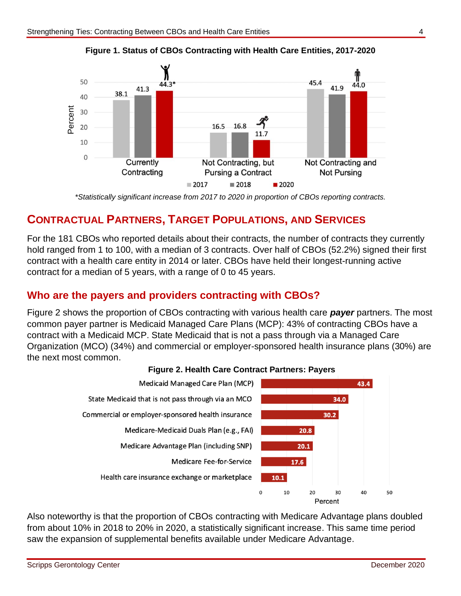



*\*Statistically significant increase from 2017 to 2020 in proportion of CBOs reporting contracts.*

## **CONTRACTUAL PARTNERS, TARGET POPULATIONS, AND SERVICES**

For the 181 CBOs who reported details about their contracts, the number of contracts they currently hold ranged from 1 to 100, with a median of 3 contracts. Over half of CBOs (52.2%) signed their first contract with a health care entity in 2014 or later. CBOs have held their longest-running active contract for a median of 5 years, with a range of 0 to 45 years.

#### **Who are the payers and providers contracting with CBOs?**

Figure 2 shows the proportion of CBOs contracting with various health care *payer* partners. The most common payer partner is Medicaid Managed Care Plans (MCP): 43% of contracting CBOs have a contract with a Medicaid MCP. State Medicaid that is not a pass through via a Managed Care Organization (MCO) (34%) and commercial or employer-sponsored health insurance plans (30%) are the next most common.



#### **Figure 2. Health Care Contract Partners: Payers**

Also noteworthy is that the proportion of CBOs contracting with Medicare Advantage plans doubled from about 10% in 2018 to 20% in 2020, a statistically significant increase. This same time period saw the expansion of supplemental benefits available under Medicare Advantage.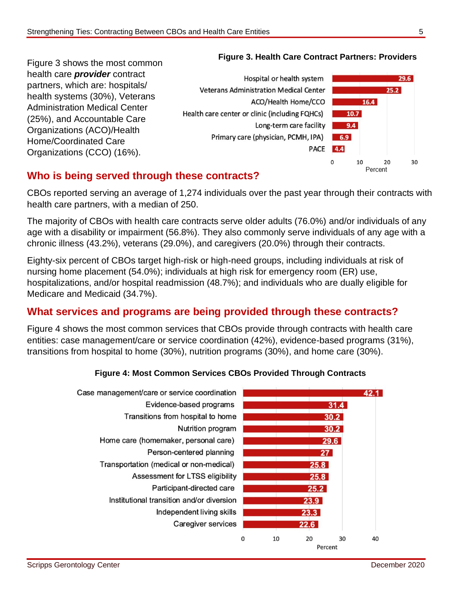Figure 3 shows the most common health care *provider* contract partners, which are: hospitals/ health systems (30%), Veterans Administration Medical Center (25%), and Accountable Care Organizations (ACO)/Health Home/Coordinated Care Organizations (CCO) (16%).



#### **Figure 3. Health Care Contract Partners: Providers**

## **Who is being served through these contracts?**

CBOs reported serving an average of 1,274 individuals over the past year through their contracts with health care partners, with a median of 250.

The majority of CBOs with health care contracts serve older adults (76.0%) and/or individuals of any age with a disability or impairment (56.8%). They also commonly serve individuals of any age with a chronic illness (43.2%), veterans (29.0%), and caregivers (20.0%) through their contracts.

Eighty-six percent of CBOs target high-risk or high-need groups, including individuals at risk of nursing home placement (54.0%); individuals at high risk for emergency room (ER) use, hospitalizations, and/or hospital readmission (48.7%); and individuals who are dually eligible for Medicare and Medicaid (34.7%).

# **What services and programs are being provided through these contracts?**

Figure 4 shows the most common services that CBOs provide through contracts with health care entities: case management/care or service coordination (42%), evidence-based programs (31%), transitions from hospital to home (30%), nutrition programs (30%), and home care (30%).

#### **Figure 4: Most Common Services CBOs Provided Through Contracts**

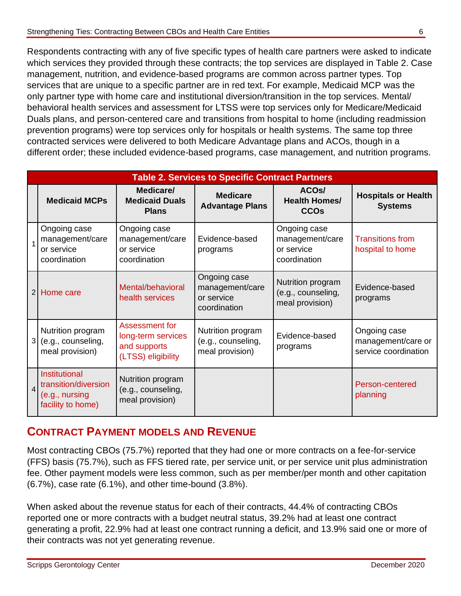Respondents contracting with any of five specific types of health care partners were asked to indicate which services they provided through these contracts; the top services are displayed in Table 2. Case management, nutrition, and evidence-based programs are common across partner types. Top services that are unique to a specific partner are in red text. For example, Medicaid MCP was the only partner type with home care and institutional diversion/transition in the top services. Mental/ behavioral health services and assessment for LTSS were top services only for Medicare/Medicaid Duals plans, and person-centered care and transitions from hospital to home (including readmission prevention programs) were top services only for hospitals or health systems. The same top three contracted services were delivered to both Medicare Advantage plans and ACOs, though in a different order; these included evidence-based programs, case management, and nutrition programs.

|                | <b>Table 2. Services to Specific Contract Partners</b>                       |                                                                            |                                                               |                                                               |                                                            |  |
|----------------|------------------------------------------------------------------------------|----------------------------------------------------------------------------|---------------------------------------------------------------|---------------------------------------------------------------|------------------------------------------------------------|--|
|                | <b>Medicaid MCPs</b>                                                         | Medicare/<br><b>Medicaid Duals</b><br><b>Plans</b>                         | <b>Medicare</b><br><b>Advantage Plans</b>                     | ACO <sub>s</sub> /<br><b>Health Homes/</b><br><b>CCOs</b>     | <b>Hospitals or Health</b><br><b>Systems</b>               |  |
|                | Ongoing case<br>management/care<br>or service<br>coordination                | Ongoing case<br>management/care<br>or service<br>coordination              | Evidence-based<br>programs                                    | Ongoing case<br>management/care<br>or service<br>coordination | <b>Transitions from</b><br>hospital to home                |  |
| 2 <sup>1</sup> | Home care                                                                    | Mental/behavioral<br>health services                                       | Ongoing case<br>management/care<br>or service<br>coordination | Nutrition program<br>(e.g., counseling,<br>meal provision)    | Evidence-based<br>programs                                 |  |
| 3 <sup>1</sup> | Nutrition program<br>(e.g., counseling,<br>meal provision)                   | Assessment for<br>long-term services<br>and supports<br>(LTSS) eligibility | Nutrition program<br>(e.g., counseling,<br>meal provision)    | Evidence-based<br>programs                                    | Ongoing case<br>management/care or<br>service coordination |  |
| $\overline{4}$ | Institutional<br>transition/diversion<br>(e.g., nursing<br>facility to home) | Nutrition program<br>(e.g., counseling,<br>meal provision)                 |                                                               |                                                               | Person-centered<br>planning                                |  |

## **CONTRACT PAYMENT MODELS AND REVENUE**

Most contracting CBOs (75.7%) reported that they had one or more contracts on a fee-for-service (FFS) basis (75.7%), such as FFS tiered rate, per service unit, or per service unit plus administration fee. Other payment models were less common, such as per member/per month and other capitation (6.7%), case rate (6.1%), and other time-bound (3.8%).

When asked about the revenue status for each of their contracts, 44.4% of contracting CBOs reported one or more contracts with a budget neutral status, 39.2% had at least one contract generating a profit, 22.9% had at least one contract running a deficit, and 13.9% said one or more of their contracts was not yet generating revenue.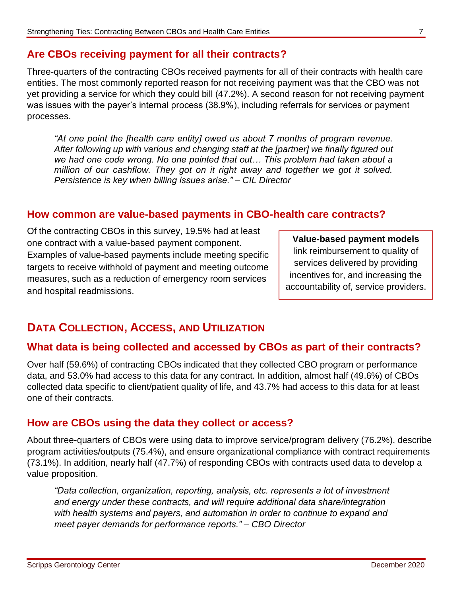#### **Are CBOs receiving payment for all their contracts?**

Three-quarters of the contracting CBOs received payments for all of their contracts with health care entities. The most commonly reported reason for not receiving payment was that the CBO was not yet providing a service for which they could bill (47.2%). A second reason for not receiving payment was issues with the payer's internal process (38.9%), including referrals for services or payment processes.

*"At one point the [health care entity] owed us about 7 months of program revenue. After following up with various and changing staff at the [partner] we finally figured out we had one code wrong. No one pointed that out… This problem had taken about a million of our cashflow. They got on it right away and together we got it solved. Persistence is key when billing issues arise." – CIL Director* 

#### **How common are value-based payments in CBO-health care contracts?**

Of the contracting CBOs in this survey, 19.5% had at least one contract with a value-based payment component. Examples of value-based payments include meeting specific targets to receive withhold of payment and meeting outcome measures, such as a reduction of emergency room services and hospital readmissions.

**Value-based payment models** link reimbursement to quality of services delivered by providing incentives for, and increasing the accountability of, service providers.

# **DATA COLLECTION, ACCESS, AND UTILIZATION**

#### **What data is being collected and accessed by CBOs as part of their contracts?**

Over half (59.6%) of contracting CBOs indicated that they collected CBO program or performance data, and 53.0% had access to this data for any contract. In addition, almost half (49.6%) of CBOs collected data specific to client/patient quality of life, and 43.7% had access to this data for at least one of their contracts.

#### **How are CBOs using the data they collect or access?**

About three-quarters of CBOs were using data to improve service/program delivery (76.2%), describe program activities/outputs (75.4%), and ensure organizational compliance with contract requirements (73.1%). In addition, nearly half (47.7%) of responding CBOs with contracts used data to develop a value proposition.

*"Data collection, organization, reporting, analysis, etc. represents a lot of investment and energy under these contracts, and will require additional data share/integration with health systems and payers, and automation in order to continue to expand and meet payer demands for performance reports." – CBO Director*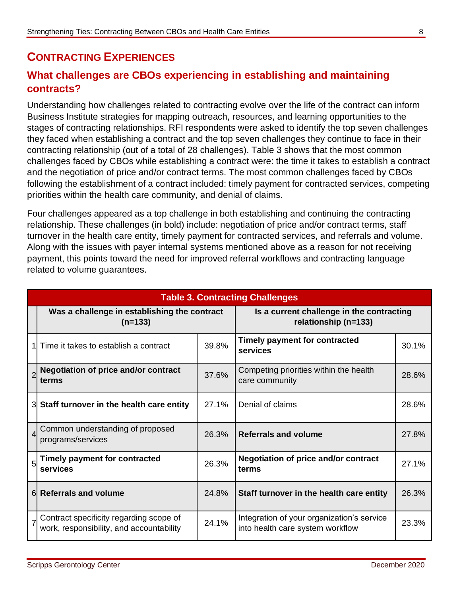# **CONTRACTING EXPERIENCES**

# **What challenges are CBOs experiencing in establishing and maintaining contracts?**

Understanding how challenges related to contracting evolve over the life of the contract can inform Business Institute strategies for mapping outreach, resources, and learning opportunities to the stages of contracting relationships. RFI respondents were asked to identify the top seven challenges they faced when establishing a contract and the top seven challenges they continue to face in their contracting relationship (out of a total of 28 challenges). Table 3 shows that the most common challenges faced by CBOs while establishing a contract were: the time it takes to establish a contract and the negotiation of price and/or contract terms. The most common challenges faced by CBOs following the establishment of a contract included: timely payment for contracted services, competing priorities within the health care community, and denial of claims.

Four challenges appeared as a top challenge in both establishing and continuing the contracting relationship. These challenges (in bold) include: negotiation of price and/or contract terms, staff turnover in the health care entity, timely payment for contracted services, and referrals and volume. Along with the issues with payer internal systems mentioned above as a reason for not receiving payment, this points toward the need for improved referral workflows and contracting language related to volume guarantees.

| <b>Table 3. Contracting Challenges</b> |                                                                                     |                                                                   |                                                                                |       |  |  |
|----------------------------------------|-------------------------------------------------------------------------------------|-------------------------------------------------------------------|--------------------------------------------------------------------------------|-------|--|--|
|                                        | Was a challenge in establishing the contract<br>$(n=133)$                           | Is a current challenge in the contracting<br>relationship (n=133) |                                                                                |       |  |  |
|                                        | Time it takes to establish a contract                                               | 39.8%                                                             | Timely payment for contracted<br>services                                      | 30.1% |  |  |
| $\overline{2}$                         | <b>Negotiation of price and/or contract</b><br>terms                                | 37.6%                                                             | Competing priorities within the health<br>care community                       | 28.6% |  |  |
|                                        | 3 Staff turnover in the health care entity                                          | 27.1%                                                             | Denial of claims                                                               | 28.6% |  |  |
| $\overline{4}$                         | Common understanding of proposed<br>programs/services                               | 26.3%                                                             | <b>Referrals and volume</b>                                                    | 27.8% |  |  |
|                                        | <b>Timely payment for contracted</b><br>services                                    | 26.3%                                                             | <b>Negotiation of price and/or contract</b><br>terms                           | 27.1% |  |  |
|                                        | 6 Referrals and volume                                                              | 24.8%                                                             | Staff turnover in the health care entity                                       | 26.3% |  |  |
|                                        | Contract specificity regarding scope of<br>work, responsibility, and accountability | 24.1%                                                             | Integration of your organization's service<br>into health care system workflow | 23.3% |  |  |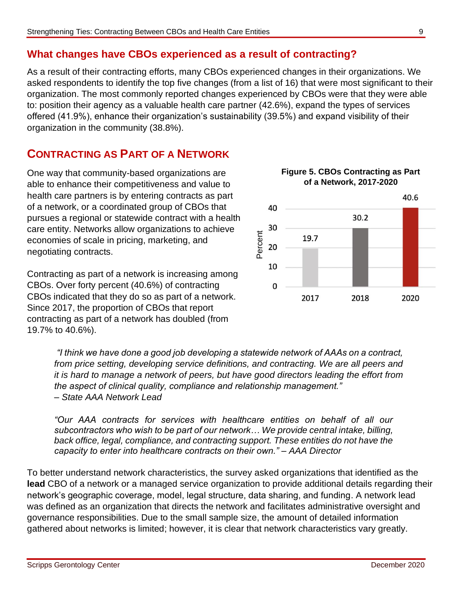# **What changes have CBOs experienced as a result of contracting?**

As a result of their contracting efforts, many CBOs experienced changes in their organizations. We asked respondents to identify the top five changes (from a list of 16) that were most significant to their organization. The most commonly reported changes experienced by CBOs were that they were able to: position their agency as a valuable health care partner (42.6%), expand the types of services offered (41.9%), enhance their organization's sustainability (39.5%) and expand visibility of their organization in the community (38.8%).

# **CONTRACTING AS PART OF A NETWORK**

One way that community-based organizations are able to enhance their competitiveness and value to health care partners is by entering contracts as part of a network, or a coordinated group of CBOs that pursues a regional or statewide contract with a health care entity. Networks allow organizations to achieve economies of scale in pricing, marketing, and negotiating contracts.

Contracting as part of a network is increasing among CBOs. Over forty percent (40.6%) of contracting CBOs indicated that they do so as part of a network. Since 2017, the proportion of CBOs that report contracting as part of a network has doubled (from 19.7% to 40.6%).



**Figure 5. CBOs Contracting as Part** 

*"I think we have done a good job developing a statewide network of AAAs on a contract, from price setting, developing service definitions, and contracting. We are all peers and it is hard to manage a network of peers, but have good directors leading the effort from the aspect of clinical quality, compliance and relationship management." – State AAA Network Lead*

*"Our AAA contracts for services with healthcare entities on behalf of all our subcontractors who wish to be part of our network… We provide central intake, billing, back office, legal, compliance, and contracting support. These entities do not have the capacity to enter into healthcare contracts on their own." – AAA Director*

To better understand network characteristics, the survey asked organizations that identified as the **lead** CBO of a network or a managed service organization to provide additional details regarding their network's geographic coverage, model, legal structure, data sharing, and funding. A network lead was defined as an organization that directs the network and facilitates administrative oversight and governance responsibilities. Due to the small sample size, the amount of detailed information gathered about networks is limited; however, it is clear that network characteristics vary greatly.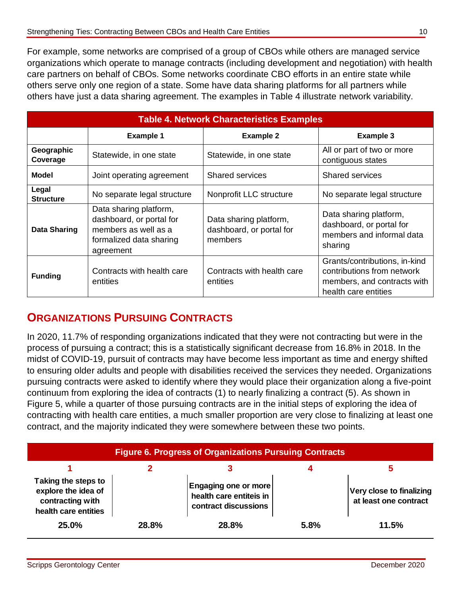For example, some networks are comprised of a group of CBOs while others are managed service organizations which operate to manage contracts (including development and negotiation) with health care partners on behalf of CBOs. Some networks coordinate CBO efforts in an entire state while others serve only one region of a state. Some have data sharing platforms for all partners while others have just a data sharing agreement. The examples in Table 4 illustrate network variability.

| <b>Table 4. Network Characteristics Examples</b> |                                                                                                                    |                                                               |                                                                                                                    |  |  |  |
|--------------------------------------------------|--------------------------------------------------------------------------------------------------------------------|---------------------------------------------------------------|--------------------------------------------------------------------------------------------------------------------|--|--|--|
|                                                  | <b>Example 1</b>                                                                                                   | <b>Example 2</b>                                              | Example 3                                                                                                          |  |  |  |
| Geographic<br>Coverage                           | Statewide, in one state                                                                                            | Statewide, in one state                                       | All or part of two or more<br>contiguous states                                                                    |  |  |  |
| <b>Model</b>                                     | Joint operating agreement                                                                                          | <b>Shared services</b>                                        | <b>Shared services</b>                                                                                             |  |  |  |
| Legal<br><b>Structure</b>                        | No separate legal structure                                                                                        | Nonprofit LLC structure                                       | No separate legal structure                                                                                        |  |  |  |
| Data Sharing                                     | Data sharing platform,<br>dashboard, or portal for<br>members as well as a<br>formalized data sharing<br>agreement | Data sharing platform,<br>dashboard, or portal for<br>members | Data sharing platform,<br>dashboard, or portal for<br>members and informal data<br>sharing                         |  |  |  |
| <b>Funding</b>                                   | Contracts with health care<br>entities                                                                             | Contracts with health care<br>entities                        | Grants/contributions, in-kind<br>contributions from network<br>members, and contracts with<br>health care entities |  |  |  |

# **ORGANIZATIONS PURSUING CONTRACTS**

In 2020, 11.7% of responding organizations indicated that they were not contracting but were in the process of pursuing a contract; this is a statistically significant decrease from 16.8% in 2018. In the midst of COVID-19, pursuit of contracts may have become less important as time and energy shifted to ensuring older adults and people with disabilities received the services they needed. Organizations pursuing contracts were asked to identify where they would place their organization along a five-point continuum from exploring the idea of contracts (1) to nearly finalizing a contract (5). As shown in Figure 5, while a quarter of those pursuing contracts are in the initial steps of exploring the idea of contracting with health care entities, a much smaller proportion are very close to finalizing at least one contract, and the majority indicated they were somewhere between these two points.

| <b>Figure 6. Progress of Organizations Pursuing Contracts</b>                          |       |                                                                                |      |                                                   |  |  |
|----------------------------------------------------------------------------------------|-------|--------------------------------------------------------------------------------|------|---------------------------------------------------|--|--|
|                                                                                        |       |                                                                                |      |                                                   |  |  |
| Taking the steps to<br>explore the idea of<br>contracting with<br>health care entities |       | <b>Engaging one or more</b><br>health care entiteis in<br>contract discussions |      | Very close to finalizing<br>at least one contract |  |  |
| 25.0%                                                                                  | 28.8% | <b>28.8%</b>                                                                   | 5.8% | 11.5%                                             |  |  |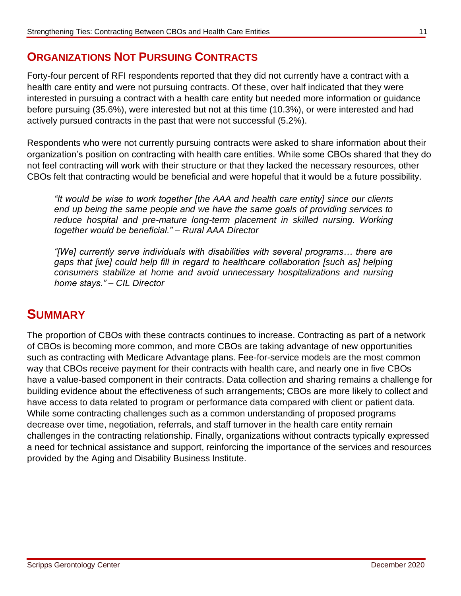# **ORGANIZATIONS NOT PURSUING CONTRACTS**

Forty-four percent of RFI respondents reported that they did not currently have a contract with a health care entity and were not pursuing contracts. Of these, over half indicated that they were interested in pursuing a contract with a health care entity but needed more information or guidance before pursuing (35.6%), were interested but not at this time (10.3%), or were interested and had actively pursued contracts in the past that were not successful (5.2%).

Respondents who were not currently pursuing contracts were asked to share information about their organization's position on contracting with health care entities. While some CBOs shared that they do not feel contracting will work with their structure or that they lacked the necessary resources, other CBOs felt that contracting would be beneficial and were hopeful that it would be a future possibility.

*"It would be wise to work together [the AAA and health care entity] since our clients end up being the same people and we have the same goals of providing services to*  reduce hospital and pre-mature long-term placement in skilled nursing. Working *together would be beneficial." – Rural AAA Director*

*"[We] currently serve individuals with disabilities with several programs… there are gaps that [we] could help fill in regard to healthcare collaboration [such as] helping consumers stabilize at home and avoid unnecessary hospitalizations and nursing home stays." – CIL Director*

# **SUMMARY**

The proportion of CBOs with these contracts continues to increase. Contracting as part of a network of CBOs is becoming more common, and more CBOs are taking advantage of new opportunities such as contracting with Medicare Advantage plans. Fee-for-service models are the most common way that CBOs receive payment for their contracts with health care, and nearly one in five CBOs have a value-based component in their contracts. Data collection and sharing remains a challenge for building evidence about the effectiveness of such arrangements; CBOs are more likely to collect and have access to data related to program or performance data compared with client or patient data. While some contracting challenges such as a common understanding of proposed programs decrease over time, negotiation, referrals, and staff turnover in the health care entity remain challenges in the contracting relationship. Finally, organizations without contracts typically expressed a need for technical assistance and support, reinforcing the importance of the services and resources provided by the Aging and Disability Business Institute.